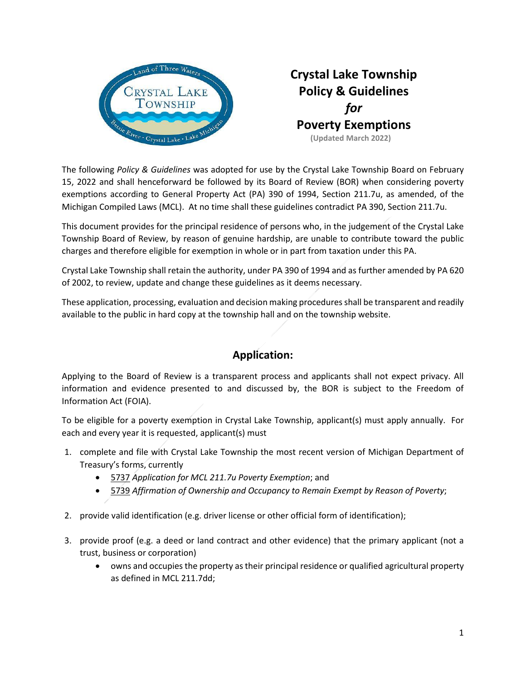

# **Crystal Lake Township Policy & Guidelines** *for* **Poverty Exemptions (Updated March 2022)**

The following *Policy & Guidelines* was adopted for use by the Crystal Lake Township Board on February 15, 2022 and shall henceforward be followed by its Board of Review (BOR) when considering poverty exemptions according to General Property Act (PA) 390 of 1994, Section 211.7u, as amended, of the Michigan Compiled Laws (MCL). At no time shall these guidelines contradict PA 390, Section 211.7u.

This document provides for the principal residence of persons who, in the judgement of the Crystal Lake Township Board of Review, by reason of genuine hardship, are unable to contribute toward the public charges and therefore eligible for exemption in whole or in part from taxation under this PA.

Crystal Lake Township shall retain the authority, under PA 390 of 1994 and as further amended by PA 620 of 2002, to review, update and change these guidelines as it deems necessary.

These application, processing, evaluation and decision making procedures shall be transparent and readily available to the public in hard copy at the township hall and on the township website.

# **Application:**

Applying to the Board of Review is a transparent process and applicants shall not expect privacy. All information and evidence presented to and discussed by, the BOR is subject to the Freedom of Information Act (FOIA).

To be eligible for a poverty exemption in Crystal Lake Township, applicant(s) must apply annually. For each and every year it is requested, applicant(s) must

- 1. complete and file with Crystal Lake Township the most recent version of Michigan Department of Treasury's forms, currently
	- 5737 *Application for MCL 211.7u Poverty Exemption*; and
	- 5739 *Affirmation of Ownership and Occupancy to Remain Exempt by Reason of Poverty*;
- 2. provide valid identification (e.g. driver license or other official form of identification);
- 3. provide proof (e.g. a deed or land contract and other evidence) that the primary applicant (not a trust, business or corporation)
	- owns and occupies the property as their principal residence or qualified agricultural property as defined in MCL 211.7dd;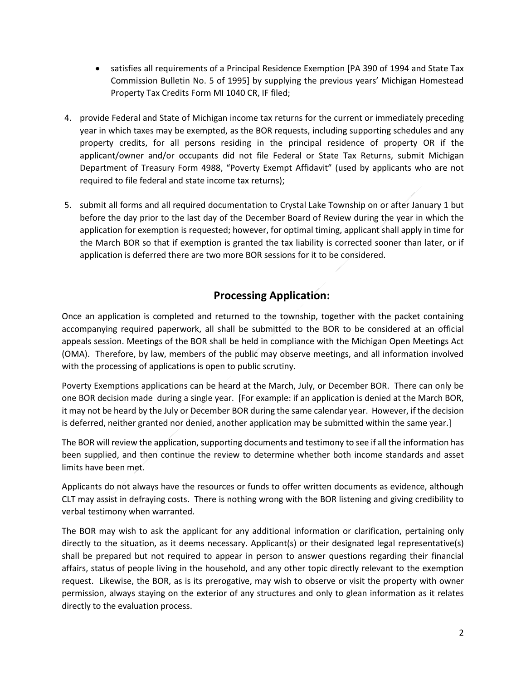- satisfies all requirements of a Principal Residence Exemption [PA 390 of 1994 and State Tax Commission Bulletin No. 5 of 1995] by supplying the previous years' Michigan Homestead Property Tax Credits Form MI 1040 CR, IF filed;
- 4. provide Federal and State of Michigan income tax returns for the current or immediately preceding year in which taxes may be exempted, as the BOR requests, including supporting schedules and any property credits, for all persons residing in the principal residence of property OR if the applicant/owner and/or occupants did not file Federal or State Tax Returns, submit Michigan Department of Treasury Form 4988, "Poverty Exempt Affidavit" (used by applicants who are not required to file federal and state income tax returns);
- 5. submit all forms and all required documentation to Crystal Lake Township on or after January 1 but before the day prior to the last day of the December Board of Review during the year in which the application for exemption is requested; however, for optimal timing, applicant shall apply in time for the March BOR so that if exemption is granted the tax liability is corrected sooner than later, or if application is deferred there are two more BOR sessions for it to be considered.

## **Processing Application:**

Once an application is completed and returned to the township, together with the packet containing accompanying required paperwork, all shall be submitted to the BOR to be considered at an official appeals session. Meetings of the BOR shall be held in compliance with the Michigan Open Meetings Act (OMA). Therefore, by law, members of the public may observe meetings, and all information involved with the processing of applications is open to public scrutiny.

Poverty Exemptions applications can be heard at the March, July, or December BOR. There can only be one BOR decision made during a single year. [For example: if an application is denied at the March BOR, it may not be heard by the July or December BOR during the same calendar year. However, if the decision is deferred, neither granted nor denied, another application may be submitted within the same year.]

The BOR will review the application, supporting documents and testimony to see if all the information has been supplied, and then continue the review to determine whether both income standards and asset limits have been met.

Applicants do not always have the resources or funds to offer written documents as evidence, although CLT may assist in defraying costs. There is nothing wrong with the BOR listening and giving credibility to verbal testimony when warranted.

The BOR may wish to ask the applicant for any additional information or clarification, pertaining only directly to the situation, as it deems necessary. Applicant(s) or their designated legal representative(s) shall be prepared but not required to appear in person to answer questions regarding their financial affairs, status of people living in the household, and any other topic directly relevant to the exemption request. Likewise, the BOR, as is its prerogative, may wish to observe or visit the property with owner permission, always staying on the exterior of any structures and only to glean information as it relates directly to the evaluation process.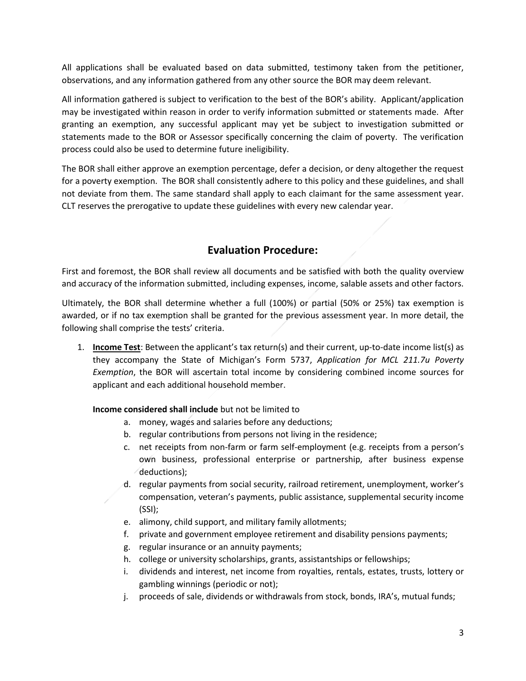All applications shall be evaluated based on data submitted, testimony taken from the petitioner, observations, and any information gathered from any other source the BOR may deem relevant.

All information gathered is subject to verification to the best of the BOR's ability. Applicant/application may be investigated within reason in order to verify information submitted or statements made. After granting an exemption, any successful applicant may yet be subject to investigation submitted or statements made to the BOR or Assessor specifically concerning the claim of poverty. The verification process could also be used to determine future ineligibility.

The BOR shall either approve an exemption percentage, defer a decision, or deny altogether the request for a poverty exemption. The BOR shall consistently adhere to this policy and these guidelines, and shall not deviate from them. The same standard shall apply to each claimant for the same assessment year. CLT reserves the prerogative to update these guidelines with every new calendar year.

## **Evaluation Procedure:**

First and foremost, the BOR shall review all documents and be satisfied with both the quality overview and accuracy of the information submitted, including expenses, income, salable assets and other factors.

Ultimately, the BOR shall determine whether a full (100%) or partial (50% or 25%) tax exemption is awarded, or if no tax exemption shall be granted for the previous assessment year. In more detail, the following shall comprise the tests' criteria.

1. **Income Test**: Between the applicant's tax return(s) and their current, up-to-date income list(s) as they accompany the State of Michigan's Form 5737, *Application for MCL 211.7u Poverty Exemption*, the BOR will ascertain total income by considering combined income sources for applicant and each additional household member.

**Income considered shall include** but not be limited to

- a. money, wages and salaries before any deductions;
- b. regular contributions from persons not living in the residence;
- c. net receipts from non-farm or farm self-employment (e.g. receipts from a person's own business, professional enterprise or partnership, after business expense deductions);
- d. regular payments from social security, railroad retirement, unemployment, worker's compensation, veteran's payments, public assistance, supplemental security income (SSI);
- e. alimony, child support, and military family allotments;
- f. private and government employee retirement and disability pensions payments;
- g. regular insurance or an annuity payments;
- h. college or university scholarships, grants, assistantships or fellowships;
- i. dividends and interest, net income from royalties, rentals, estates, trusts, lottery or gambling winnings (periodic or not);
- j. proceeds of sale, dividends or withdrawals from stock, bonds, IRA's, mutual funds;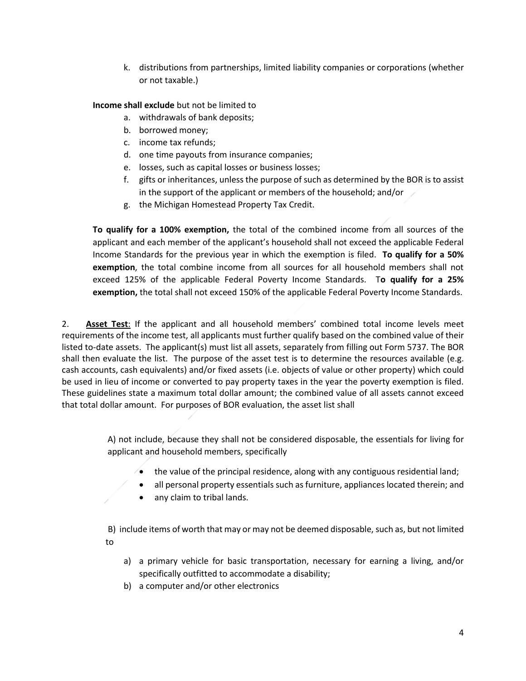k. distributions from partnerships, limited liability companies or corporations (whether or not taxable.)

**Income shall exclude** but not be limited to

- a. withdrawals of bank deposits;
- b. borrowed money;
- c. income tax refunds;
- d. one time payouts from insurance companies;
- e. losses, such as capital losses or business losses;
- f. gifts or inheritances, unless the purpose of such as determined by the BOR is to assist in the support of the applicant or members of the household; and/or
- g. the Michigan Homestead Property Tax Credit.

**To qualify for a 100% exemption,** the total of the combined income from all sources of the applicant and each member of the applicant's household shall not exceed the applicable Federal Income Standards for the previous year in which the exemption is filed. **To qualify for a 50% exemption**, the total combine income from all sources for all household members shall not exceed 125% of the applicable Federal Poverty Income Standards. T**o qualify for a 25% exemption,** the total shall not exceed 150% of the applicable Federal Poverty Income Standards.

2. **Asset Test**: If the applicant and all household members' combined total income levels meet requirements of the income test, all applicants must further qualify based on the combined value of their listed to-date assets. The applicant(s) must list all assets, separately from filling out Form 5737. The BOR shall then evaluate the list. The purpose of the asset test is to determine the resources available (e.g. cash accounts, cash equivalents) and/or fixed assets (i.e. objects of value or other property) which could be used in lieu of income or converted to pay property taxes in the year the poverty exemption is filed. These guidelines state a maximum total dollar amount; the combined value of all assets cannot exceed that total dollar amount. For purposes of BOR evaluation, the asset list shall

> A) not include, because they shall not be considered disposable, the essentials for living for applicant and household members, specifically

- $\rightarrow$  the value of the principal residence, along with any contiguous residential land;
- all personal property essentials such as furniture, appliances located therein; and
- any claim to tribal lands.

B) include items of worth that may or may not be deemed disposable, such as, but not limited to

- a) a primary vehicle for basic transportation, necessary for earning a living, and/or specifically outfitted to accommodate a disability;
- b) a computer and/or other electronics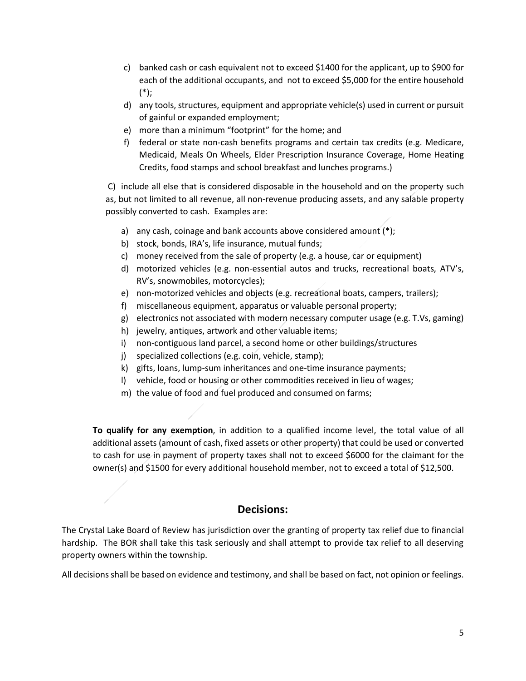- c) banked cash or cash equivalent not to exceed \$1400 for the applicant, up to \$900 for each of the additional occupants, and not to exceed \$5,000 for the entire household (\*);
- d) any tools, structures, equipment and appropriate vehicle(s) used in current or pursuit of gainful or expanded employment;
- e) more than a minimum "footprint" for the home; and
- f) federal or state non-cash benefits programs and certain tax credits (e.g. Medicare, Medicaid, Meals On Wheels, Elder Prescription Insurance Coverage, Home Heating Credits, food stamps and school breakfast and lunches programs.)

C) include all else that is considered disposable in the household and on the property such as, but not limited to all revenue, all non-revenue producing assets, and any salable property possibly converted to cash. Examples are:

- a) any cash, coinage and bank accounts above considered amount  $(*)$ ;
- b) stock, bonds, IRA's, life insurance, mutual funds;
- c) money received from the sale of property (e.g. a house, car or equipment)
- d) motorized vehicles (e.g. non-essential autos and trucks, recreational boats, ATV's, RV's, snowmobiles, motorcycles);
- e) non-motorized vehicles and objects (e.g. recreational boats, campers, trailers);
- f) miscellaneous equipment, apparatus or valuable personal property;
- g) electronics not associated with modern necessary computer usage (e.g. T.Vs, gaming)
- h) jewelry, antiques, artwork and other valuable items;
- i) non-contiguous land parcel, a second home or other buildings/structures
- j) specialized collections (e.g. coin, vehicle, stamp);
- k) gifts, loans, lump-sum inheritances and one-time insurance payments;
- l) vehicle, food or housing or other commodities received in lieu of wages;
- m) the value of food and fuel produced and consumed on farms;

**To qualify for any exemption**, in addition to a qualified income level, the total value of all additional assets (amount of cash, fixed assets or other property) that could be used or converted to cash for use in payment of property taxes shall not to exceed \$6000 for the claimant for the owner(s) and \$1500 for every additional household member, not to exceed a total of \$12,500.

### **Decisions:**

The Crystal Lake Board of Review has jurisdiction over the granting of property tax relief due to financial hardship. The BOR shall take this task seriously and shall attempt to provide tax relief to all deserving property owners within the township.

All decisions shall be based on evidence and testimony, and shall be based on fact, not opinion or feelings.